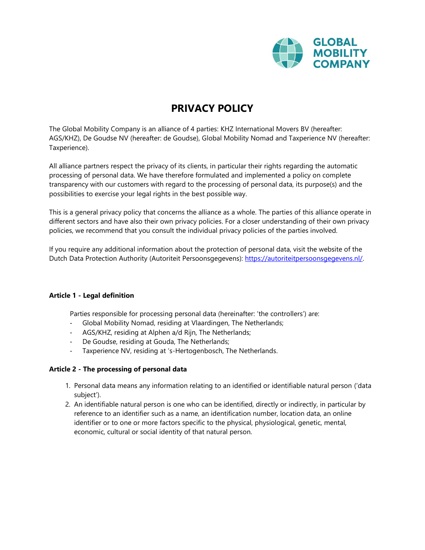

# **PRIVACY POLICY**

The Global Mobility Company is an alliance of 4 parties: KHZ International Movers BV (hereafter: AGS/KHZ), De Goudse NV (hereafter: de Goudse), Global Mobility Nomad and Taxperience NV (hereafter: Taxperience).

All alliance partners respect the privacy of its clients, in particular their rights regarding the automatic processing of personal data. We have therefore formulated and implemented a policy on complete transparency with our customers with regard to the processing of personal data, its purpose(s) and the possibilities to exercise your legal rights in the best possible way.

This is a general privacy policy that concerns the alliance as a whole. The parties of this alliance operate in different sectors and have also their own privacy policies. For a closer understanding of their own privacy policies, we recommend that you consult the individual privacy policies of the parties involved.

If you require any additional information about the protection of personal data, visit the website of the Dutch Data Protection Authority (Autoriteit Persoonsgegevens): [https://autoriteitpersoonsgegevens.nl/.](https://autoriteitpersoonsgegevens.nl/)

## **Article 1 - Legal definition**

Parties responsible for processing personal data (hereinafter: 'the controllers') are:

- Global Mobility Nomad, residing at Vlaardingen, The Netherlands;
- AGS/KHZ, residing at Alphen a/d Rijn, The Netherlands;
- De Goudse, residing at Gouda, The Netherlands;
- Taxperience NV, residing at 's-Hertogenbosch, The Netherlands.

## **Article 2 - The processing of personal data**

- 1. Personal data means any information relating to an identified or identifiable natural person ('data subject').
- 2. An identifiable natural person is one who can be identified, directly or indirectly, in particular by reference to an identifier such as a name, an identification number, location data, an online identifier or to one or more factors specific to the physical, physiological, genetic, mental, economic, cultural or social identity of that natural person.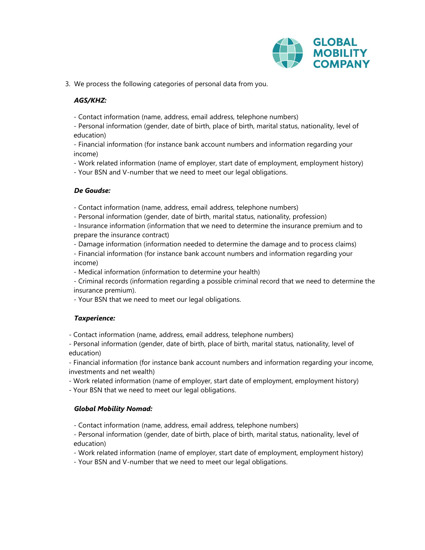

3. We process the following categories of personal data from you.

# *AGS/KHZ:*

- Contact information (name, address, email address, telephone numbers)

- Personal information (gender, date of birth, place of birth, marital status, nationality, level of education)

- Financial information (for instance bank account numbers and information regarding your income)

- Work related information (name of employer, start date of employment, employment history)

- Your BSN and V-number that we need to meet our legal obligations.

# *De Goudse:*

- Contact information (name, address, email address, telephone numbers)

- Personal information (gender, date of birth, marital status, nationality, profession)

- Insurance information (information that we need to determine the insurance premium and to prepare the insurance contract)

- Damage information (information needed to determine the damage and to process claims)

- Financial information (for instance bank account numbers and information regarding your income)

- Medical information (information to determine your health)

- Criminal records (information regarding a possible criminal record that we need to determine the insurance premium).

- Your BSN that we need to meet our legal obligations.

# *Taxperience:*

- Contact information (name, address, email address, telephone numbers)

- Personal information (gender, date of birth, place of birth, marital status, nationality, level of education)

- Financial information (for instance bank account numbers and information regarding your income, investments and net wealth)

- Work related information (name of employer, start date of employment, employment history)

- Your BSN that we need to meet our legal obligations.

# *Global Mobility Nomad:*

- Contact information (name, address, email address, telephone numbers)

- Personal information (gender, date of birth, place of birth, marital status, nationality, level of education)

- Work related information (name of employer, start date of employment, employment history)

- Your BSN and V-number that we need to meet our legal obligations.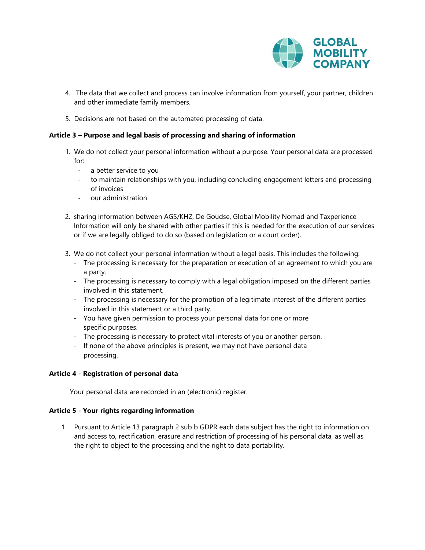

- 4. The data that we collect and process can involve information from yourself, your partner, children and other immediate family members.
- 5. Decisions are not based on the automated processing of data.

# **Article 3 – Purpose and legal basis of processing and sharing of information**

- 1. We do not collect your personal information without a purpose. Your personal data are processed for:
	- a better service to you
	- to maintain relationships with you, including concluding engagement letters and processing of invoices
	- our administration
- 2. sharing information between AGS/KHZ, De Goudse, Global Mobility Nomad and Taxperience Information will only be shared with other parties if this is needed for the execution of our services or if we are legally obliged to do so (based on legislation or a court order).
- 3. We do not collect your personal information without a legal basis. This includes the following:
	- The processing is necessary for the preparation or execution of an agreement to which you are a party.
	- The processing is necessary to comply with a legal obligation imposed on the different parties involved in this statement.
	- The processing is necessary for the promotion of a legitimate interest of the different parties involved in this statement or a third party.
	- You have given permission to process your personal data for one or more specific purposes.
	- The processing is necessary to protect vital interests of you or another person.
	- If none of the above principles is present, we may not have personal data processing.

## **Article 4 - Registration of personal data**

Your personal data are recorded in an (electronic) register.

## **Article 5 - Your rights regarding information**

1. Pursuant to Article 13 paragraph 2 sub b GDPR each data subject has the right to information on and access to, rectification, erasure and restriction of processing of his personal data, as well as the right to object to the processing and the right to data portability.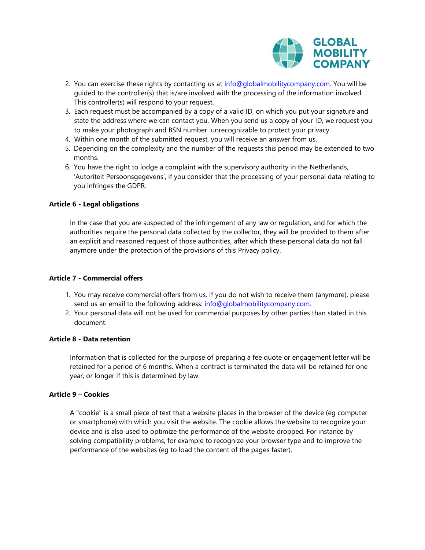

- 2. You can exercise these rights by contacting us at  $info@globalmobility company.com$ . You will be guided to the controller(s) that is/are involved with the processing of the information involved. This controller(s) will respond to your request.
- 3. Each request must be accompanied by a copy of a valid ID, on which you put your signature and state the address where we can contact you. When you send us a copy of your ID, we request you to make your photograph and BSN number unrecognizable to protect your privacy.
- 4. Within one month of the submitted request, you will receive an answer from us.
- 5. Depending on the complexity and the number of the requests this period may be extended to two months.
- 6. You have the right to lodge a complaint with the supervisory authority in the Netherlands, 'Autoriteit Persoonsgegevens', if you consider that the processing of your personal data relating to you infringes the GDPR.

## **Article 6 - Legal obligations**

In the case that you are suspected of the infringement of any law or regulation, and for which the authorities require the personal data collected by the collector, they will be provided to them after an explicit and reasoned request of those authorities, after which these personal data do not fall anymore under the protection of the provisions of this Privacy policy.

#### **Article 7 - Commercial offers**

- 1. You may receive commercial offers from us. If you do not wish to receive them (anymore), please send us an email to the following address: [info@globalmobilitycompany.com.](mailto:info@globalmobilitycompany.coml)
- 2. Your personal data will not be used for commercial purposes by other parties than stated in this document.

#### **Article 8 - Data retention**

Information that is collected for the purpose of preparing a fee quote or engagement letter will be retained for a period of 6 months. When a contract is terminated the data will be retained for one year, or longer if this is determined by law.

#### **Article 9 – Cookies**

A "cookie" is a small piece of text that a website places in the browser of the device (eg computer or smartphone) with which you visit the website. The cookie allows the website to recognize your device and is also used to optimize the performance of the website dropped. For instance by solving compatibility problems, for example to recognize your browser type and to improve the performance of the websites (eg to load the content of the pages faster).